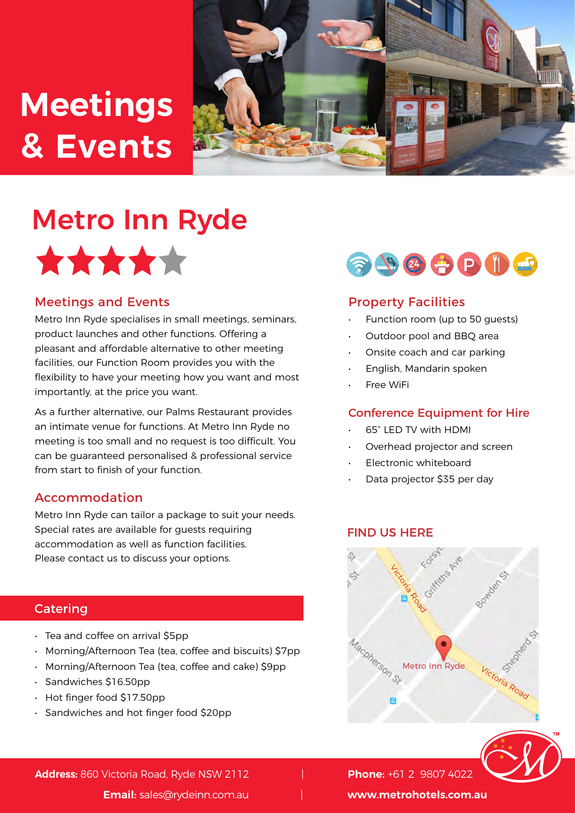## **Meetings & Events**



## Metro Inn Ryde



#### Meetings and Events

Metro Inn Ryde specialises in small meetings, seminars, product launches and other functions. Offering a pleasant and affordable alternative to other meeting facilities, our Function Room provides you with the flexibility to have your meeting how you want and most importantly, at the price you want.

As a further alternative, our Palms Restaurant provides an intimate venue for functions. At Metro Inn Ryde no meeting is too small and no request is too difficult. You can be guaranteed personalised & professional service from start to finish of your function.

#### Accommodation

Metro Inn Ryde can tailor a package to suit your needs. Special rates are available for quests requiring accommodation as well as function facilities. Please contact us to discuss your options.

#### **Catering**

- Tea and coffee on arrival \$5pp
- Morning/Afternoon Tea (tea, coffee and biscuits) \$7pp
- Morning/Afternoon Tea (tea, coffee and cake) \$9pp
- Sandwiches \$16.50pp
- Hot finger food \$17.50pp
- Sandwiches and hot finger food \$20pp



#### Property Facilities

- Function room (up to 50 guests)
- Outdoor pool and BBQ area
- Onsite coach and car parking
- English, Mandarin spoken
- **Free WiFi**

#### Conference Equipment for Hire

- 65" LED TV with HDMI
- Overhead projector and screen
- Electronic whiteboard
- Data projector \$35 per day

#### FIND US HERE





**Address:** 860 Victoria Road, Ryde NSW 2112 | **Phone:** +61 2 9807 4022

**Email:** sales@rydeinn.com.au | **www.metrohotels.com.au**